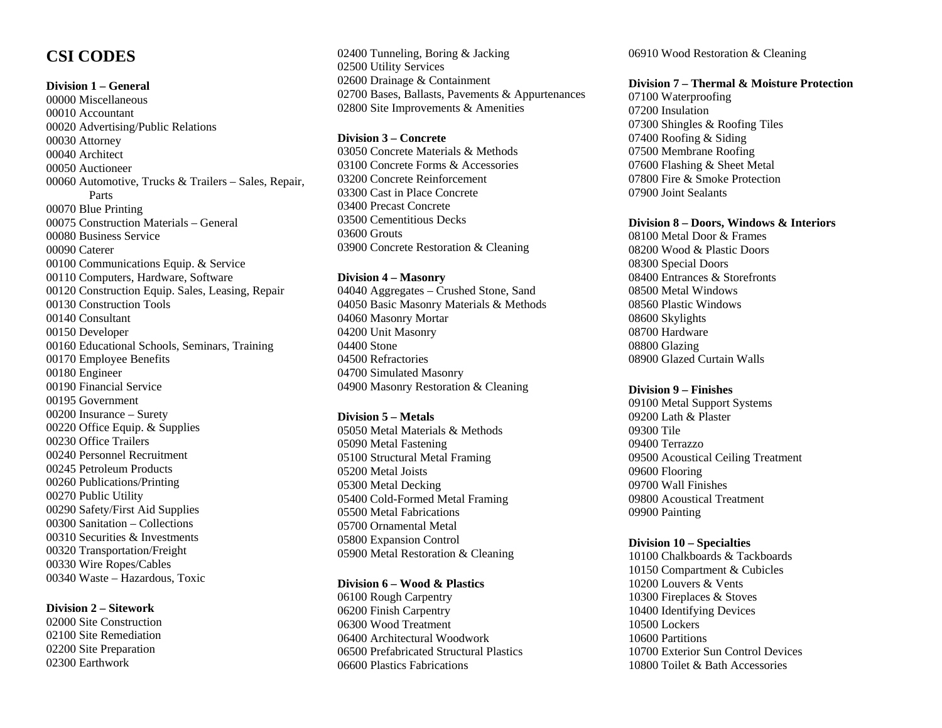# **CSI CODES**

## **Division 1 – General**

00000 Miscellaneous 00010 Accountant 00020 Advertising/Public Relations 00030 Attorney 00040 Architect 00050 Auctioneer 00060 Automotive, Trucks & Trailers – Sales, Repair, Parts 00070 Blue Printing 00075 Construction Materials – General 00080 Business Service 00090 Caterer 00100 Communications Equip. & Service 00110 Computers, Hardware, Software 00120 Construction Equip. Sales, Leasing, Repair 00130 Construction Tools 00140 Consultant 00150 Developer 00160 Educational Schools, Seminars, Training 00170 Employee Benefits 00180 Engineer 00190 Financial Service 00195 Government 00200 Insurance – Surety 00220 Office Equip. & Supplies 00230 Office Trailers 00240 Personnel Recruitment 00245 Petroleum Products 00260 Publications/Printing 00270 Public Utility 00290 Safety/First Aid Supplies 00300 Sanitation – Collections 00310 Securities & Investments 00320 Transportation/Freight 00330 Wire Ropes/Cables 00340 Waste – Hazardous, Toxic

## **Division 2 – Sitework**

02000 Site Construction 02100 Site Remediation 02200 Site Preparation 02300 Earthwork

02400 Tunneling, Boring & Jacking 02500 Utility Services 02600 Drainage & Containment 02700 Bases, Ballasts, Pavements & Appurtenances 02800 Site Improvements & Amenities

#### **Division 3 – Concrete**

03050 Concrete Materials & Methods 03100 Concrete Forms & Accessories 03200 Concrete Reinforcement 03300 Cast in Place Concrete 03400 Precast Concrete 03500 Cementitious Decks 03600 Grouts 03900 Concrete Restoration & Cleaning

#### **Division 4 – Masonry**

04040 Aggregates – Crushed Stone, Sand 04050 Basic Masonry Materials & Methods 04060 Masonry Mortar 04200 Unit Masonry 04400 Stone 04500 Refractories 04700 Simulated Masonry 04900 Masonry Restoration & Cleaning

#### **Division 5 – Metals**

05050 Metal Materials & Methods 05090 Metal Fastening 05100 Structural Metal Framing 05200 Metal Joists 05300 Metal Decking 05400 Cold-Formed Metal Framing 05500 Metal Fabrications 05700 Ornamental Metal 05800 Expansion Control 05900 Metal Restoration & Cleaning

#### **Division 6 – Wood & Plastics**

06100 Rough Carpentry 06200 Finish Carpentry 06300 Wood Treatment 06400 Architectural Woodwork 06500 Prefabricated Structural Plastics 06600 Plastics Fabrications

06910 Wood Restoration & Cleaning

#### **Division 7 – Thermal & Moisture Protection**

07100 Waterproofing 07200 Insulation 07300 Shingles & Roofing Tiles 07400 Roofing & Siding 07500 Membrane Roofing 07600 Flashing & Sheet Metal 07800 Fire & Smoke Protection 07900 Joint Sealants

#### **Division 8 – Doors, Windows & Interiors**

08100 Metal Door & Frames 08200 Wood & Plastic Doors 08300 Special Doors 08400 Entrances & Storefronts 08500 Metal Windows 08560 Plastic Windows 08600 Skylights 08700 Hardware 08800 Glazing 08900 Glazed Curtain Walls

#### **Division 9 – Finishes**

09100 Metal Support Systems 09200 Lath & Plaster 09300 Tile 09400 Terrazzo 09500 Acoustical Ceiling Treatment 09600 Flooring 09700 Wall Finishes 09800 Acoustical Treatment 09900 Painting

#### **Division 10 – Specialties**

10100 Chalkboards & Tackboards 10150 Compartment & Cubicles 10200 Louvers & Vents 10300 Fireplaces & Stoves 10400 Identifying Devices 10500 Lockers 10600 Partitions 10700 Exterior Sun Control Devices 10800 Toilet & Bath Accessories